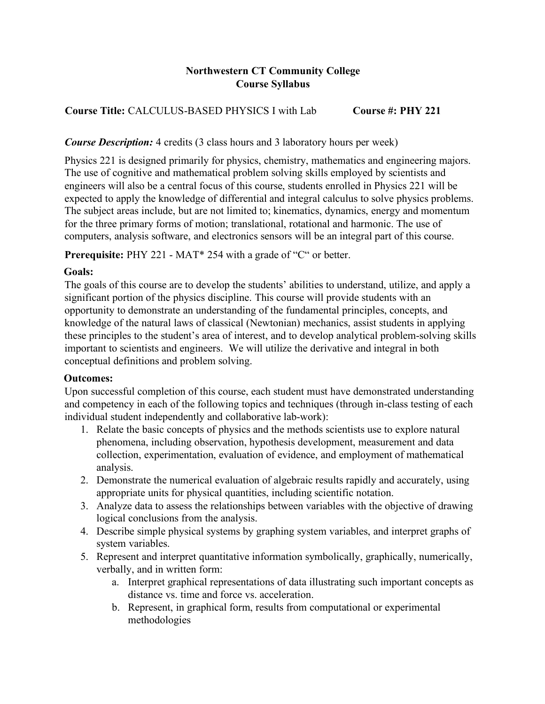# **Northwestern CT Community College Course Syllabus**

# **Course Title:** CALCULUS-BASED PHYSICS I with Lab **Course #: PHY 221**

### *Course Description:* 4 credits (3 class hours and 3 laboratory hours per week)

Physics 221 is designed primarily for physics, chemistry, mathematics and engineering majors. The use of cognitive and mathematical problem solving skills employed by scientists and engineers will also be a central focus of this course, students enrolled in Physics 221 will be expected to apply the knowledge of differential and integral calculus to solve physics problems. The subject areas include, but are not limited to; kinematics, dynamics, energy and momentum for the three primary forms of motion; translational, rotational and harmonic. The use of computers, analysis software, and electronics sensors will be an integral part of this course.

**Prerequisite:** PHY 221 - MAT\* 254 with a grade of "C" or better.

## **Goals:**

The goals of this course are to develop the students' abilities to understand, utilize, and apply a significant portion of the physics discipline. This course will provide students with an opportunity to demonstrate an understanding of the fundamental principles, concepts, and knowledge of the natural laws of classical (Newtonian) mechanics, assist students in applying these principles to the student's area of interest, and to develop analytical problem-solving skills important to scientists and engineers. We will utilize the derivative and integral in both conceptual definitions and problem solving.

### **Outcomes:**

Upon successful completion of this course, each student must have demonstrated understanding and competency in each of the following topics and techniques (through in-class testing of each individual student independently and collaborative lab-work):

- 1. Relate the basic concepts of physics and the methods scientists use to explore natural phenomena, including observation, hypothesis development, measurement and data collection, experimentation, evaluation of evidence, and employment of mathematical analysis.
- 2. Demonstrate the numerical evaluation of algebraic results rapidly and accurately, using appropriate units for physical quantities, including scientific notation.
- 3. Analyze data to assess the relationships between variables with the objective of drawing logical conclusions from the analysis.
- 4. Describe simple physical systems by graphing system variables, and interpret graphs of system variables.
- 5. Represent and interpret quantitative information symbolically, graphically, numerically, verbally, and in written form:
	- a. Interpret graphical representations of data illustrating such important concepts as distance vs. time and force vs. acceleration.
	- b. Represent, in graphical form, results from computational or experimental methodologies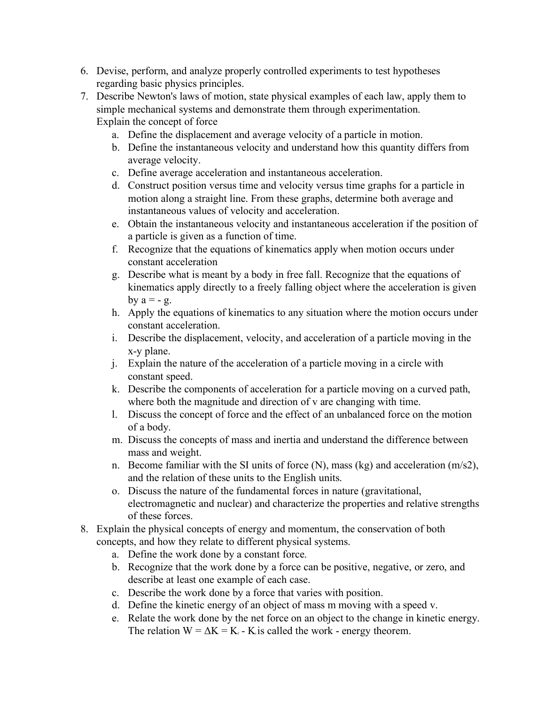- 6. Devise, perform, and analyze properly controlled experiments to test hypotheses regarding basic physics principles.
- 7. Describe Newton's laws of motion, state physical examples of each law, apply them to simple mechanical systems and demonstrate them through experimentation. Explain the concept of force
	- a. Define the displacement and average velocity of a particle in motion.
	- b. Define the instantaneous velocity and understand how this quantity differs from average velocity.
	- c. Define average acceleration and instantaneous acceleration.
	- d. Construct position versus time and velocity versus time graphs for a particle in motion along a straight line. From these graphs, determine both average and instantaneous values of velocity and acceleration.
	- e. Obtain the instantaneous velocity and instantaneous acceleration if the position of a particle is given as a function of time.
	- f. Recognize that the equations of kinematics apply when motion occurs under constant acceleration
	- g. Describe what is meant by a body in free fall. Recognize that the equations of kinematics apply directly to a freely falling object where the acceleration is given by  $a = -g$ .
	- h. Apply the equations of kinematics to any situation where the motion occurs under constant acceleration.
	- i. Describe the displacement, velocity, and acceleration of a particle moving in the x-y plane.
	- j. Explain the nature of the acceleration of a particle moving in a circle with constant speed.
	- k. Describe the components of acceleration for a particle moving on a curved path, where both the magnitude and direction of v are changing with time.
	- l. Discuss the concept of force and the effect of an unbalanced force on the motion of a body.
	- m. Discuss the concepts of mass and inertia and understand the difference between mass and weight.
	- n. Become familiar with the SI units of force (N), mass (kg) and acceleration (m/s2), and the relation of these units to the English units.
	- o. Discuss the nature of the fundamental forces in nature (gravitational, electromagnetic and nuclear) and characterize the properties and relative strengths of these forces.
- 8. Explain the physical concepts of energy and momentum, the conservation of both concepts, and how they relate to different physical systems.
	- a. Define the work done by a constant force.
	- b. Recognize that the work done by a force can be positive, negative, or zero, and describe at least one example of each case.
	- c. Describe the work done by a force that varies with position.
	- d. Define the kinetic energy of an object of mass m moving with a speed v.
	- e. Relate the work done by the net force on an object to the change in kinetic energy. The relation  $W = \Delta K = K_f - K_i$  is called the work - energy theorem.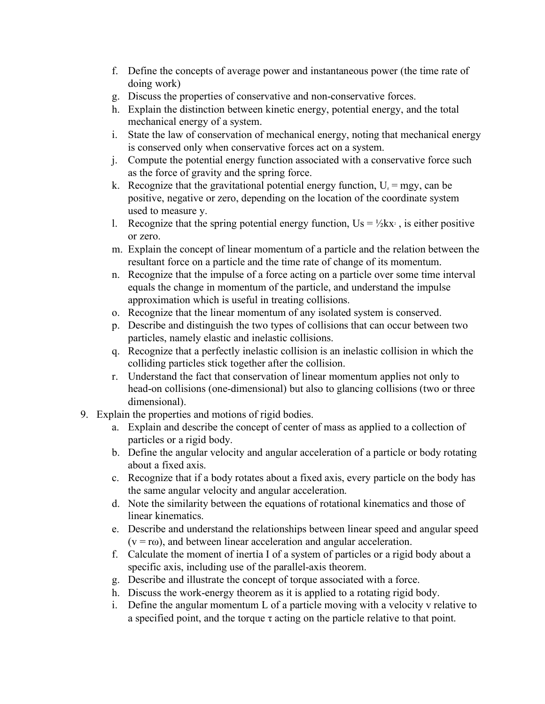- f. Define the concepts of average power and instantaneous power (the time rate of doing work)
- g. Discuss the properties of conservative and non-conservative forces.
- h. Explain the distinction between kinetic energy, potential energy, and the total mechanical energy of a system.
- i. State the law of conservation of mechanical energy, noting that mechanical energy is conserved only when conservative forces act on a system.
- j. Compute the potential energy function associated with a conservative force such as the force of gravity and the spring force.
- k. Recognize that the gravitational potential energy function,  $U_s = mgy$ , can be positive, negative or zero, depending on the location of the coordinate system used to measure y.
- l. Recognize that the spring potential energy function,  $Us = \frac{1}{2}kx^2$ , is either positive or zero.
- m. Explain the concept of linear momentum of a particle and the relation between the resultant force on a particle and the time rate of change of its momentum.
- n. Recognize that the impulse of a force acting on a particle over some time interval equals the change in momentum of the particle, and understand the impulse approximation which is useful in treating collisions.
- o. Recognize that the linear momentum of any isolated system is conserved.
- p. Describe and distinguish the two types of collisions that can occur between two particles, namely elastic and inelastic collisions.
- q. Recognize that a perfectly inelastic collision is an inelastic collision in which the colliding particles stick together after the collision.
- r. Understand the fact that conservation of linear momentum applies not only to head-on collisions (one-dimensional) but also to glancing collisions (two or three dimensional).
- 9. Explain the properties and motions of rigid bodies.
	- a. Explain and describe the concept of center of mass as applied to a collection of particles or a rigid body.
	- b. Define the angular velocity and angular acceleration of a particle or body rotating about a fixed axis.
	- c. Recognize that if a body rotates about a fixed axis, every particle on the body has the same angular velocity and angular acceleration.
	- d. Note the similarity between the equations of rotational kinematics and those of linear kinematics.
	- e. Describe and understand the relationships between linear speed and angular speed  $(v = r\omega)$ , and between linear acceleration and angular acceleration.
	- f. Calculate the moment of inertia I of a system of particles or a rigid body about a specific axis, including use of the parallel-axis theorem.
	- g. Describe and illustrate the concept of torque associated with a force.
	- h. Discuss the work-energy theorem as it is applied to a rotating rigid body.
	- i. Define the angular momentum L of a particle moving with a velocity v relative to a specified point, and the torque  $\tau$  acting on the particle relative to that point.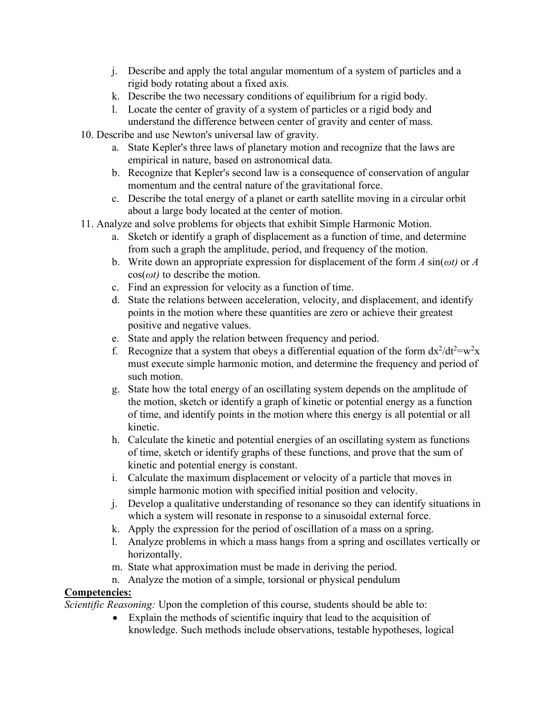- j. Describe and apply the total angular momentum of a system of particles and a rigid body rotating about a fixed axis.
- k. Describe the two necessary conditions of equilibrium for a rigid body.
- l. Locate the center of gravity of a system of particles or a rigid body and understand the difference between center of gravity and center of mass.
- 10. Describe and use Newton's universal law of gravity.
	- a. State Kepler's three laws of planetary motion and recognize that the laws are empirical in nature, based on astronomical data.
	- b. Recognize that Kepler's second law is a consequence of conservation of angular momentum and the central nature of the gravitational force.
	- c. Describe the total energy of a planet or earth satellite moving in a circular orbit about a large body located at the center of motion.
- 11. Analyze and solve problems for objects that exhibit Simple Harmonic Motion.
	- a. Sketch or identify a graph of displacement as a function of time, and determine from such a graph the amplitude, period, and frequency of the motion.
	- b. Write down an appropriate expression for displacement of the form *A* sin(*ωt)* or *A*  cos(*ωt)* to describe the motion.
	- c. Find an expression for velocity as a function of time.
	- d. State the relations between acceleration, velocity, and displacement, and identify points in the motion where these quantities are zero or achieve their greatest positive and negative values.
	- e. State and apply the relation between frequency and period.
	- f. Recognize that a system that obeys a differential equation of the form  $dx^2/dt^2 = w^2x$ must execute simple harmonic motion, and determine the frequency and period of such motion.
	- g. State how the total energy of an oscillating system depends on the amplitude of the motion, sketch or identify a graph of kinetic or potential energy as a function of time, and identify points in the motion where this energy is all potential or all kinetic.
	- h. Calculate the kinetic and potential energies of an oscillating system as functions of time, sketch or identify graphs of these functions, and prove that the sum of kinetic and potential energy is constant.
	- i. Calculate the maximum displacement or velocity of a particle that moves in simple harmonic motion with specified initial position and velocity.
	- j. Develop a qualitative understanding of resonance so they can identify situations in which a system will resonate in response to a sinusoidal external force.
	- k. Apply the expression for the period of oscillation of a mass on a spring.
	- l. Analyze problems in which a mass hangs from a spring and oscillates vertically or horizontally.
	- m. State what approximation must be made in deriving the period.
	- n. Analyze the motion of a simple, torsional or physical pendulum

# **Competencies:**

*Scientific Reasoning:* Upon the completion of this course, students should be able to:

• Explain the methods of scientific inquiry that lead to the acquisition of knowledge. Such methods include observations, testable hypotheses, logical